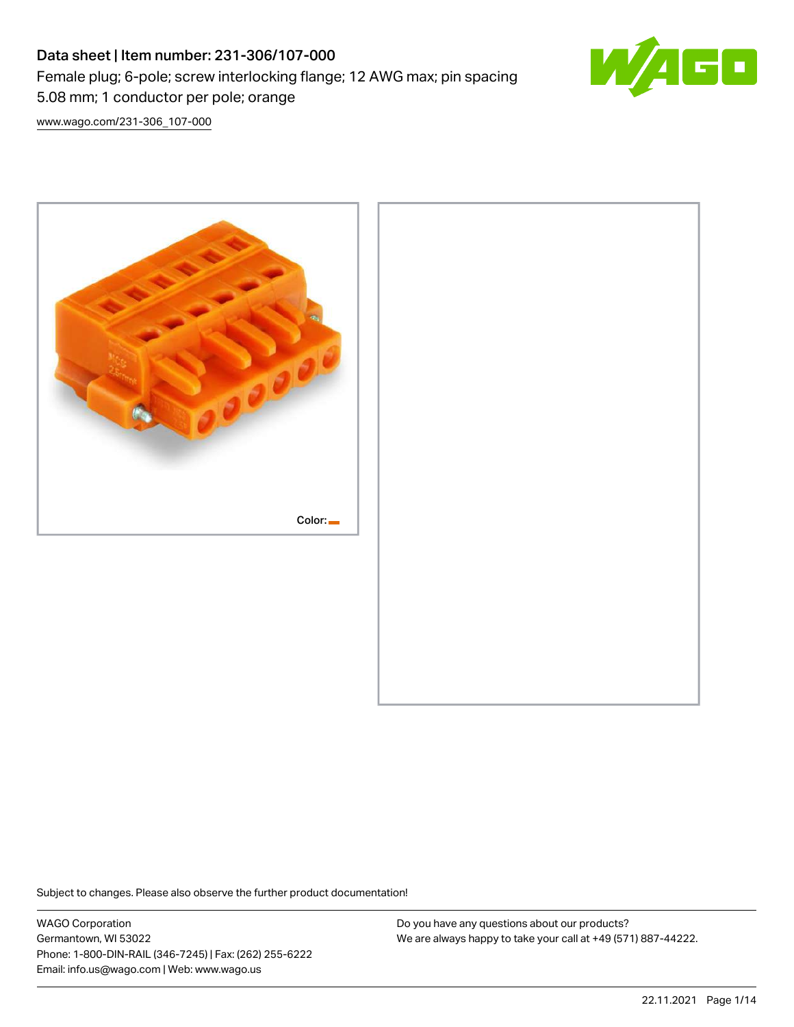# Data sheet | Item number: 231-306/107-000 Female plug; 6-pole; screw interlocking flange; 12 AWG max; pin spacing 5.08 mm; 1 conductor per pole; orange



[www.wago.com/231-306\\_107-000](http://www.wago.com/231-306_107-000)



Subject to changes. Please also observe the further product documentation!

WAGO Corporation Germantown, WI 53022 Phone: 1-800-DIN-RAIL (346-7245) | Fax: (262) 255-6222 Email: info.us@wago.com | Web: www.wago.us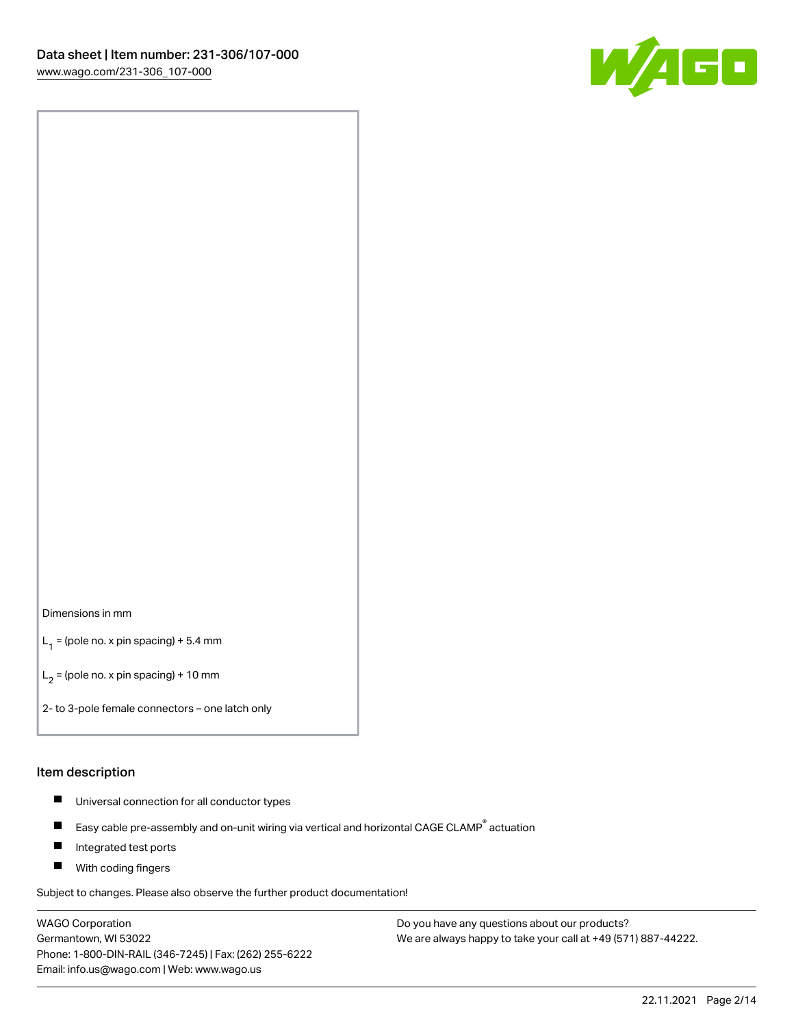

#### Dimensions in mm

 $L_1$  = (pole no. x pin spacing) + 5.4 mm

 $L_2$  = (pole no. x pin spacing) + 10 mm

2- to 3-pole female connectors – one latch only

#### Item description

- $\blacksquare$ Universal connection for all conductor types
- Easy cable pre-assembly and on-unit wiring via vertical and horizontal CAGE CLAMP<sup>®</sup> actuation  $\blacksquare$
- П Integrated test ports
- $\blacksquare$ With coding fingers

Subject to changes. Please also observe the further product documentation!

WAGO Corporation Germantown, WI 53022 Phone: 1-800-DIN-RAIL (346-7245) | Fax: (262) 255-6222 Email: info.us@wago.com | Web: www.wago.us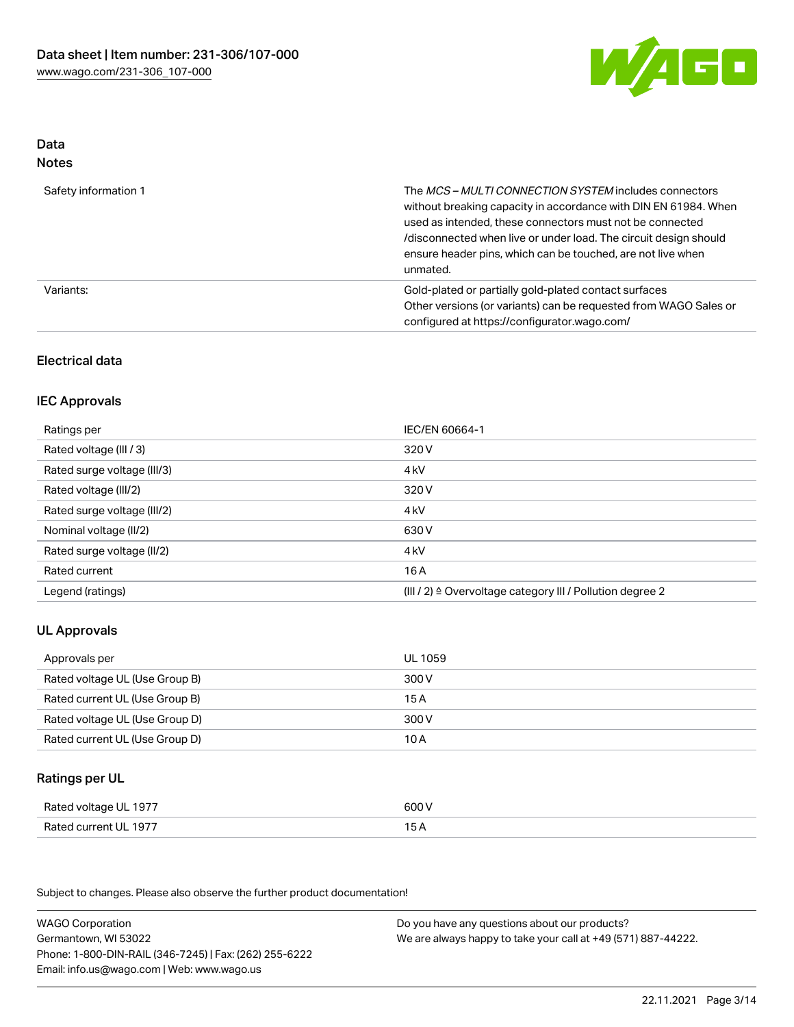

# Data

| w<br>×<br>×<br>۹<br>٠<br>۰, |
|-----------------------------|
|-----------------------------|

| Safety information 1 | The MCS-MULTI CONNECTION SYSTEM includes connectors<br>without breaking capacity in accordance with DIN EN 61984. When<br>used as intended, these connectors must not be connected<br>/disconnected when live or under load. The circuit design should<br>ensure header pins, which can be touched, are not live when<br>unmated. |
|----------------------|-----------------------------------------------------------------------------------------------------------------------------------------------------------------------------------------------------------------------------------------------------------------------------------------------------------------------------------|
| Variants:            | Gold-plated or partially gold-plated contact surfaces<br>Other versions (or variants) can be requested from WAGO Sales or<br>configured at https://configurator.wago.com/                                                                                                                                                         |

## Electrical data

## IEC Approvals

| Ratings per                 | IEC/EN 60664-1                                                       |
|-----------------------------|----------------------------------------------------------------------|
| Rated voltage (III / 3)     | 320 V                                                                |
| Rated surge voltage (III/3) | 4 <sub>k</sub> V                                                     |
| Rated voltage (III/2)       | 320 V                                                                |
| Rated surge voltage (III/2) | 4 <sub>kV</sub>                                                      |
| Nominal voltage (II/2)      | 630 V                                                                |
| Rated surge voltage (II/2)  | 4 <sub>k</sub> V                                                     |
| Rated current               | 16 A                                                                 |
| Legend (ratings)            | (III / 2) $\triangleq$ Overvoltage category III / Pollution degree 2 |

# UL Approvals

| Approvals per                  | UL 1059 |
|--------------------------------|---------|
| Rated voltage UL (Use Group B) | 300 V   |
| Rated current UL (Use Group B) | 15 A    |
| Rated voltage UL (Use Group D) | 300 V   |
| Rated current UL (Use Group D) | 10 A    |

## Ratings per UL

| Rated voltage UL 1977 | 600 V |
|-----------------------|-------|
| Rated current UL 1977 | 15 A  |

Subject to changes. Please also observe the further product documentation!

| <b>WAGO Corporation</b>                                | Do you have any questions about our products?                 |
|--------------------------------------------------------|---------------------------------------------------------------|
| Germantown, WI 53022                                   | We are always happy to take your call at +49 (571) 887-44222. |
| Phone: 1-800-DIN-RAIL (346-7245)   Fax: (262) 255-6222 |                                                               |
| Email: info.us@wago.com   Web: www.wago.us             |                                                               |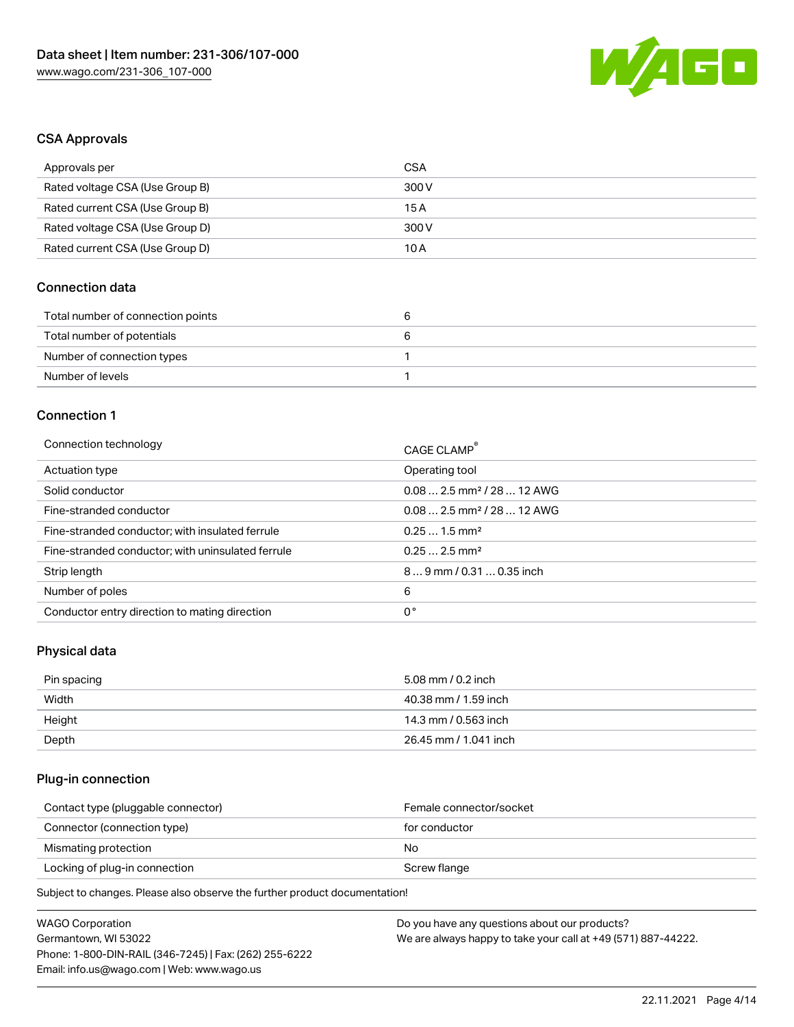

## CSA Approvals

| Approvals per                   | CSA   |
|---------------------------------|-------|
| Rated voltage CSA (Use Group B) | 300 V |
| Rated current CSA (Use Group B) | 15 A  |
| Rated voltage CSA (Use Group D) | 300 V |
| Rated current CSA (Use Group D) | 10 A  |

## Connection data

| Total number of connection points | ີ |
|-----------------------------------|---|
| Total number of potentials        |   |
| Number of connection types        |   |
| Number of levels                  |   |

#### Connection 1

| Connection technology                             | CAGE CLAMP®                             |
|---------------------------------------------------|-----------------------------------------|
| Actuation type                                    | Operating tool                          |
| Solid conductor                                   | $0.082.5$ mm <sup>2</sup> / 28  12 AWG  |
| Fine-stranded conductor                           | $0.08$ 2.5 mm <sup>2</sup> / 28  12 AWG |
| Fine-stranded conductor; with insulated ferrule   | $0.251.5$ mm <sup>2</sup>               |
| Fine-stranded conductor; with uninsulated ferrule | $0.252.5$ mm <sup>2</sup>               |
| Strip length                                      | 89 mm / 0.31  0.35 inch                 |
| Number of poles                                   | 6                                       |
| Conductor entry direction to mating direction     | 0°                                      |

# Physical data

| Pin spacing | 5.08 mm / 0.2 inch    |
|-------------|-----------------------|
| Width       | 40.38 mm / 1.59 inch  |
| Height      | 14.3 mm / 0.563 inch  |
| Depth       | 26.45 mm / 1.041 inch |

# Plug-in connection

| Contact type (pluggable connector) | Female connector/socket |
|------------------------------------|-------------------------|
| Connector (connection type)        | for conductor           |
| Mismating protection               | No                      |
| Locking of plug-in connection      | Screw flange            |
|                                    |                         |

Subject to changes. Please also observe the further product documentation!

| WAGO Corporation                                       | Do you have any questions about our products?                 |
|--------------------------------------------------------|---------------------------------------------------------------|
| Germantown, WI 53022                                   | We are always happy to take your call at +49 (571) 887-44222. |
| Phone: 1-800-DIN-RAIL (346-7245)   Fax: (262) 255-6222 |                                                               |
| Email: info.us@wago.com   Web: www.wago.us             |                                                               |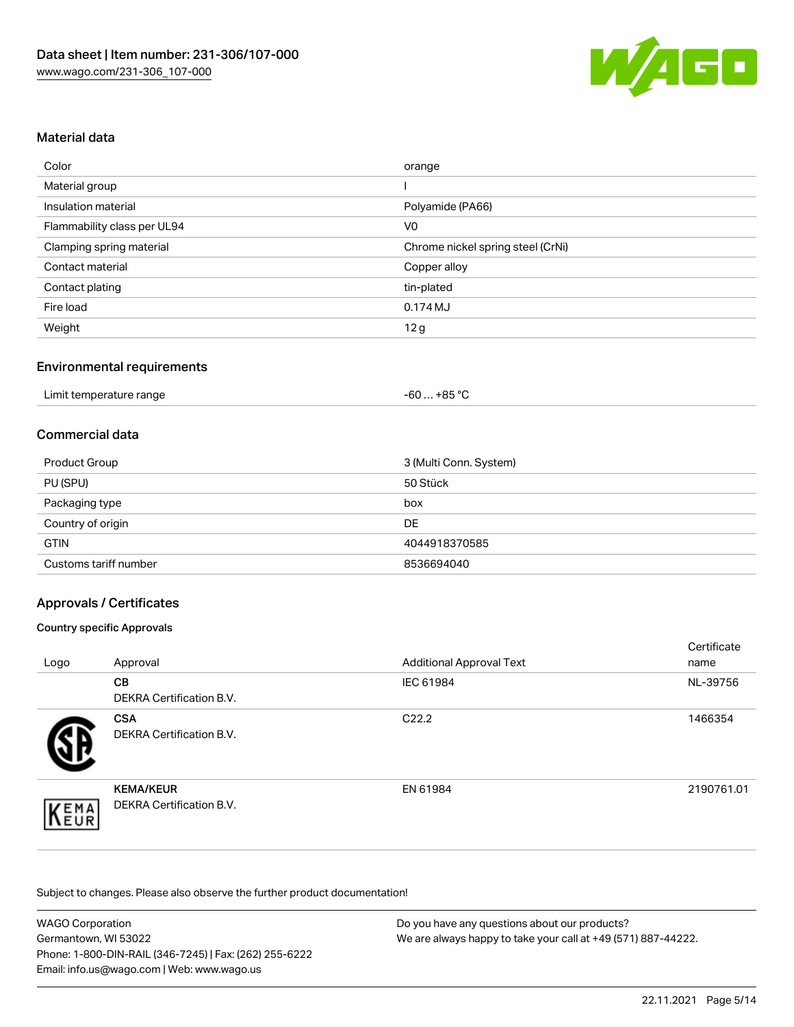

## Material data

| Color                       | orange                            |
|-----------------------------|-----------------------------------|
| Material group              |                                   |
| Insulation material         | Polyamide (PA66)                  |
| Flammability class per UL94 | V <sub>0</sub>                    |
| Clamping spring material    | Chrome nickel spring steel (CrNi) |
| Contact material            | Copper alloy                      |
| Contact plating             | tin-plated                        |
| Fire load                   | 0.174 MJ                          |
| Weight                      | 12g                               |

## Environmental requirements

#### Commercial data

| Product Group         | 3 (Multi Conn. System) |
|-----------------------|------------------------|
| PU (SPU)              | 50 Stück               |
| Packaging type        | box                    |
| Country of origin     | <b>DE</b>              |
| <b>GTIN</b>           | 4044918370585          |
| Customs tariff number | 8536694040             |

## Approvals / Certificates

#### Country specific Approvals

| Logo | Approval                                            | <b>Additional Approval Text</b> | Certificate<br>name |
|------|-----------------------------------------------------|---------------------------------|---------------------|
|      | CВ<br><b>DEKRA Certification B.V.</b>               | IEC 61984                       | NL-39756            |
|      | <b>CSA</b><br>DEKRA Certification B.V.              | C <sub>22.2</sub>               | 1466354             |
| EMA  | <b>KEMA/KEUR</b><br><b>DEKRA Certification B.V.</b> | EN 61984                        | 2190761.01          |

Subject to changes. Please also observe the further product documentation!

| <b>WAGO Corporation</b>                                | Do you have any questions about our products?                 |
|--------------------------------------------------------|---------------------------------------------------------------|
| Germantown, WI 53022                                   | We are always happy to take your call at +49 (571) 887-44222. |
| Phone: 1-800-DIN-RAIL (346-7245)   Fax: (262) 255-6222 |                                                               |
| Email: info.us@wago.com   Web: www.wago.us             |                                                               |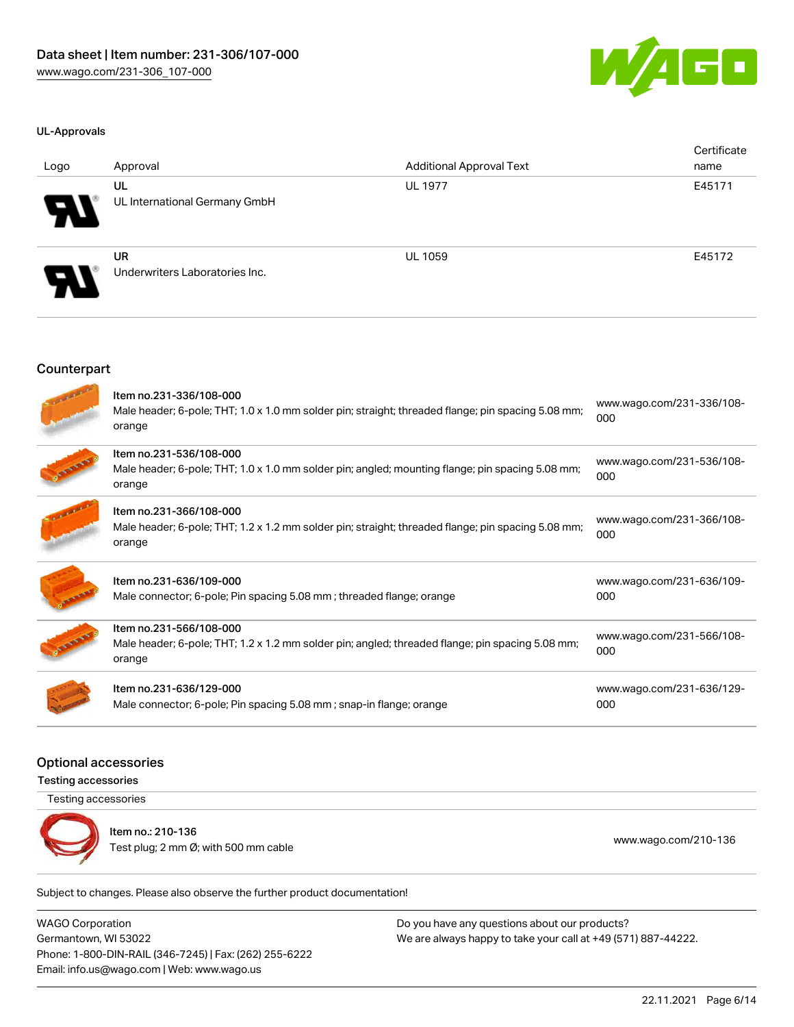

#### UL-Approvals

| Logo                       | Approval                                    | <b>Additional Approval Text</b> | Certificate<br>name |
|----------------------------|---------------------------------------------|---------------------------------|---------------------|
| $\boldsymbol{\theta}$      | UL<br>UL International Germany GmbH         | <b>UL 1977</b>                  | E45171              |
| $\boldsymbol{\mathcal{A}}$ | <b>UR</b><br>Underwriters Laboratories Inc. | <b>UL 1059</b>                  | E45172              |

#### **Counterpart**

| Item no.231-336/108-000<br>Male header; 6-pole; THT; 1.0 x 1.0 mm solder pin; straight; threaded flange; pin spacing 5.08 mm;<br>orange | www.wago.com/231-336/108-<br>000 |
|-----------------------------------------------------------------------------------------------------------------------------------------|----------------------------------|
| Item no.231-536/108-000<br>Male header; 6-pole; THT; 1.0 x 1.0 mm solder pin; angled; mounting flange; pin spacing 5.08 mm;<br>orange   | www.wago.com/231-536/108-<br>000 |
| Item no.231-366/108-000<br>Male header; 6-pole; THT; 1.2 x 1.2 mm solder pin; straight; threaded flange; pin spacing 5.08 mm;<br>orange | www.wago.com/231-366/108-<br>000 |
| Item no.231-636/109-000<br>Male connector; 6-pole; Pin spacing 5.08 mm; threaded flange; orange                                         | www.wago.com/231-636/109-<br>000 |
| Item no.231-566/108-000<br>Male header; 6-pole; THT; 1.2 x 1.2 mm solder pin; angled; threaded flange; pin spacing 5.08 mm;<br>orange   | www.wago.com/231-566/108-<br>000 |
| Item no.231-636/129-000<br>Male connector; 6-pole; Pin spacing 5.08 mm; snap-in flange; orange                                          | www.wago.com/231-636/129-<br>000 |

## Optional accessories

Testing accessories

Testing accessories



Item no.: 210-136 Test plug; 2 nm Ø; with 500 mm cable [www.wago.com/210-136](http://www.wago.com/210-136)

Subject to changes. Please also observe the further product documentation!

WAGO Corporation Germantown, WI 53022 Phone: 1-800-DIN-RAIL (346-7245) | Fax: (262) 255-6222 Email: info.us@wago.com | Web: www.wago.us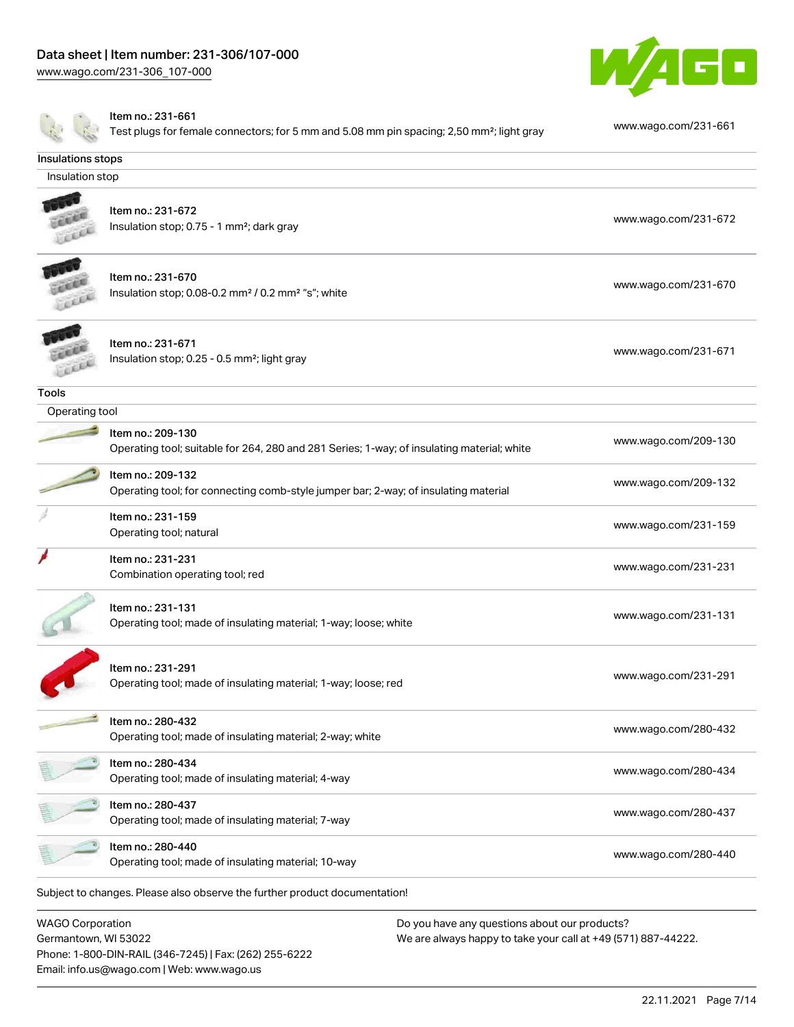Phone: 1-800-DIN-RAIL (346-7245) | Fax: (262) 255-6222

Email: info.us@wago.com | Web: www.wago.us

[www.wago.com/231-306\\_107-000](http://www.wago.com/231-306_107-000)



|                                                 | Item no.: 231-661<br>Test plugs for female connectors; for 5 mm and 5.08 mm pin spacing; 2,50 mm <sup>2</sup> ; light gray | www.wago.com/231-661                                                                                           |
|-------------------------------------------------|----------------------------------------------------------------------------------------------------------------------------|----------------------------------------------------------------------------------------------------------------|
| Insulations stops                               |                                                                                                                            |                                                                                                                |
| Insulation stop                                 |                                                                                                                            |                                                                                                                |
|                                                 | Item no.: 231-672<br>Insulation stop; 0.75 - 1 mm <sup>2</sup> ; dark gray                                                 | www.wago.com/231-672                                                                                           |
|                                                 | Item no.: 231-670<br>Insulation stop; 0.08-0.2 mm <sup>2</sup> / 0.2 mm <sup>2</sup> "s"; white                            | www.wago.com/231-670                                                                                           |
|                                                 | Item no.: 231-671<br>Insulation stop; 0.25 - 0.5 mm <sup>2</sup> ; light gray                                              | www.wago.com/231-671                                                                                           |
| <b>Tools</b>                                    |                                                                                                                            |                                                                                                                |
| Operating tool                                  |                                                                                                                            |                                                                                                                |
|                                                 | Item no.: 209-130<br>Operating tool; suitable for 264, 280 and 281 Series; 1-way; of insulating material; white            | www.wago.com/209-130                                                                                           |
|                                                 | Item no.: 209-132<br>Operating tool; for connecting comb-style jumper bar; 2-way; of insulating material                   | www.wago.com/209-132                                                                                           |
|                                                 | Item no.: 231-159<br>Operating tool; natural                                                                               | www.wago.com/231-159                                                                                           |
|                                                 | Item no.: 231-231<br>Combination operating tool; red                                                                       | www.wago.com/231-231                                                                                           |
|                                                 | Item no.: 231-131<br>Operating tool; made of insulating material; 1-way; loose; white                                      | www.wago.com/231-131                                                                                           |
|                                                 | Item no.: 231-291<br>Operating tool; made of insulating material; 1-way; loose; red                                        | www.wago.com/231-291                                                                                           |
|                                                 | Item no.: 280-432<br>Operating tool; made of insulating material; 2-way; white                                             | www.wago.com/280-432                                                                                           |
|                                                 | Item no.: 280-434<br>Operating tool; made of insulating material; 4-way                                                    | www.wago.com/280-434                                                                                           |
|                                                 | Item no.: 280-437<br>Operating tool; made of insulating material; 7-way                                                    | www.wago.com/280-437                                                                                           |
|                                                 | Item no.: 280-440<br>Operating tool; made of insulating material; 10-way                                                   | www.wago.com/280-440                                                                                           |
|                                                 | Subject to changes. Please also observe the further product documentation!                                                 |                                                                                                                |
| <b>WAGO Corporation</b><br>Germantown, WI 53022 |                                                                                                                            | Do you have any questions about our products?<br>We are always happy to take your call at +49 (571) 887-44222. |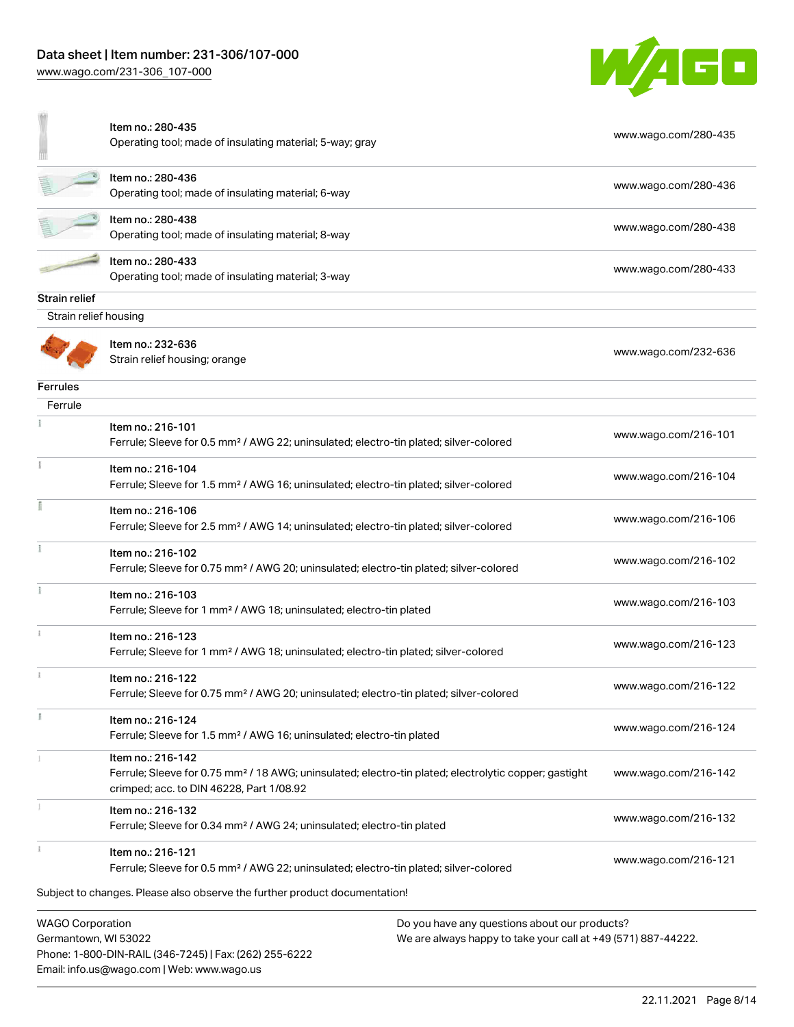Email: info.us@wago.com | Web: www.wago.us

[www.wago.com/231-306\\_107-000](http://www.wago.com/231-306_107-000)



|                                                 | Item no.: 280-435<br>Operating tool; made of insulating material; 5-way; gray                                                                                                      |                                                                                                                | www.wago.com/280-435 |
|-------------------------------------------------|------------------------------------------------------------------------------------------------------------------------------------------------------------------------------------|----------------------------------------------------------------------------------------------------------------|----------------------|
|                                                 | Item no.: 280-436<br>Operating tool; made of insulating material; 6-way                                                                                                            |                                                                                                                | www.wago.com/280-436 |
|                                                 | Item no.: 280-438<br>Operating tool; made of insulating material; 8-way                                                                                                            |                                                                                                                | www.wago.com/280-438 |
|                                                 | Item no.: 280-433<br>Operating tool; made of insulating material; 3-way                                                                                                            |                                                                                                                | www.wago.com/280-433 |
| Strain relief                                   |                                                                                                                                                                                    |                                                                                                                |                      |
| Strain relief housing                           |                                                                                                                                                                                    |                                                                                                                |                      |
|                                                 | Item no.: 232-636<br>Strain relief housing; orange                                                                                                                                 |                                                                                                                | www.wago.com/232-636 |
| <b>Ferrules</b>                                 |                                                                                                                                                                                    |                                                                                                                |                      |
| Ferrule                                         |                                                                                                                                                                                    |                                                                                                                |                      |
|                                                 | Item no.: 216-101<br>Ferrule; Sleeve for 0.5 mm <sup>2</sup> / AWG 22; uninsulated; electro-tin plated; silver-colored                                                             |                                                                                                                | www.wago.com/216-101 |
|                                                 | Item no.: 216-104<br>Ferrule; Sleeve for 1.5 mm <sup>2</sup> / AWG 16; uninsulated; electro-tin plated; silver-colored                                                             |                                                                                                                | www.wago.com/216-104 |
|                                                 | Item no.: 216-106<br>Ferrule; Sleeve for 2.5 mm <sup>2</sup> / AWG 14; uninsulated; electro-tin plated; silver-colored                                                             |                                                                                                                | www.wago.com/216-106 |
|                                                 | Item no.: 216-102<br>Ferrule; Sleeve for 0.75 mm <sup>2</sup> / AWG 20; uninsulated; electro-tin plated; silver-colored                                                            |                                                                                                                | www.wago.com/216-102 |
|                                                 | Item no.: 216-103<br>Ferrule; Sleeve for 1 mm <sup>2</sup> / AWG 18; uninsulated; electro-tin plated                                                                               |                                                                                                                | www.wago.com/216-103 |
|                                                 | Item no.: 216-123<br>Ferrule; Sleeve for 1 mm <sup>2</sup> / AWG 18; uninsulated; electro-tin plated; silver-colored                                                               |                                                                                                                | www.wago.com/216-123 |
|                                                 | Item no.: 216-122<br>Ferrule; Sleeve for 0.75 mm <sup>2</sup> / AWG 20; uninsulated; electro-tin plated; silver-colored                                                            |                                                                                                                | www.wago.com/216-122 |
|                                                 | Item no.: 216-124<br>Ferrule; Sleeve for 1.5 mm <sup>2</sup> / AWG 16; uninsulated; electro-tin plated                                                                             |                                                                                                                | www.wago.com/216-124 |
|                                                 | Item no.: 216-142<br>Ferrule; Sleeve for 0.75 mm <sup>2</sup> / 18 AWG; uninsulated; electro-tin plated; electrolytic copper; gastight<br>crimped; acc. to DIN 46228, Part 1/08.92 |                                                                                                                | www.wago.com/216-142 |
|                                                 | Item no.: 216-132<br>Ferrule; Sleeve for 0.34 mm <sup>2</sup> / AWG 24; uninsulated; electro-tin plated                                                                            |                                                                                                                | www.wago.com/216-132 |
|                                                 | Item no.: 216-121<br>Ferrule; Sleeve for 0.5 mm <sup>2</sup> / AWG 22; uninsulated; electro-tin plated; silver-colored                                                             |                                                                                                                | www.wago.com/216-121 |
|                                                 | Subject to changes. Please also observe the further product documentation!                                                                                                         |                                                                                                                |                      |
| <b>WAGO Corporation</b><br>Germantown, WI 53022 | Phone: 1-800-DIN-RAIL (346-7245)   Fax: (262) 255-6222                                                                                                                             | Do you have any questions about our products?<br>We are always happy to take your call at +49 (571) 887-44222. |                      |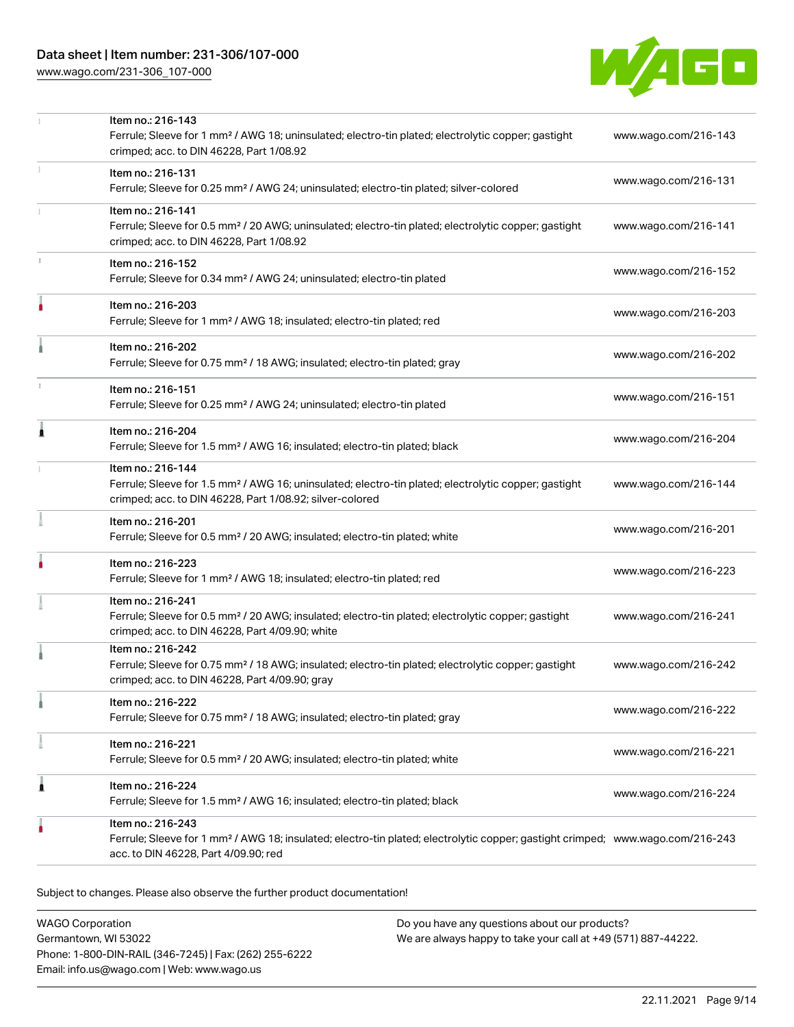[www.wago.com/231-306\\_107-000](http://www.wago.com/231-306_107-000)



|   | Item no.: 216-143<br>Ferrule; Sleeve for 1 mm <sup>2</sup> / AWG 18; uninsulated; electro-tin plated; electrolytic copper; gastight<br>crimped; acc. to DIN 46228, Part 1/08.92                         | www.wago.com/216-143 |
|---|---------------------------------------------------------------------------------------------------------------------------------------------------------------------------------------------------------|----------------------|
|   | Item no.: 216-131<br>Ferrule; Sleeve for 0.25 mm <sup>2</sup> / AWG 24; uninsulated; electro-tin plated; silver-colored                                                                                 | www.wago.com/216-131 |
|   | Item no.: 216-141<br>Ferrule; Sleeve for 0.5 mm <sup>2</sup> / 20 AWG; uninsulated; electro-tin plated; electrolytic copper; gastight<br>crimped; acc. to DIN 46228, Part 1/08.92                       | www.wago.com/216-141 |
|   | Item no.: 216-152<br>Ferrule; Sleeve for 0.34 mm <sup>2</sup> / AWG 24; uninsulated; electro-tin plated                                                                                                 | www.wago.com/216-152 |
| ۸ | Item no.: 216-203<br>Ferrule; Sleeve for 1 mm <sup>2</sup> / AWG 18; insulated; electro-tin plated; red                                                                                                 | www.wago.com/216-203 |
|   | Item no.: 216-202<br>Ferrule; Sleeve for 0.75 mm <sup>2</sup> / 18 AWG; insulated; electro-tin plated; gray                                                                                             | www.wago.com/216-202 |
|   | Item no.: 216-151<br>Ferrule; Sleeve for 0.25 mm <sup>2</sup> / AWG 24; uninsulated; electro-tin plated                                                                                                 | www.wago.com/216-151 |
| Ă | Item no.: 216-204<br>Ferrule; Sleeve for 1.5 mm <sup>2</sup> / AWG 16; insulated; electro-tin plated; black                                                                                             | www.wago.com/216-204 |
|   | Item no.: 216-144<br>Ferrule; Sleeve for 1.5 mm <sup>2</sup> / AWG 16; uninsulated; electro-tin plated; electrolytic copper; gastight<br>crimped; acc. to DIN 46228, Part 1/08.92; silver-colored       | www.wago.com/216-144 |
|   | Item no.: 216-201<br>Ferrule; Sleeve for 0.5 mm <sup>2</sup> / 20 AWG; insulated; electro-tin plated; white                                                                                             | www.wago.com/216-201 |
|   | Item no.: 216-223<br>Ferrule; Sleeve for 1 mm <sup>2</sup> / AWG 18; insulated; electro-tin plated; red                                                                                                 | www.wago.com/216-223 |
|   | Item no.: 216-241<br>Ferrule; Sleeve for 0.5 mm <sup>2</sup> / 20 AWG; insulated; electro-tin plated; electrolytic copper; gastight<br>crimped; acc. to DIN 46228, Part 4/09.90; white                  | www.wago.com/216-241 |
|   | Item no.: 216-242<br>Ferrule; Sleeve for 0.75 mm <sup>2</sup> / 18 AWG; insulated; electro-tin plated; electrolytic copper; gastight<br>crimped; acc. to DIN 46228, Part 4/09.90; gray                  | www.wago.com/216-242 |
|   | Item no.: 216-222<br>Ferrule; Sleeve for 0.75 mm <sup>2</sup> / 18 AWG; insulated; electro-tin plated; gray                                                                                             | www.wago.com/216-222 |
|   | Item no.: 216-221<br>Ferrule; Sleeve for 0.5 mm <sup>2</sup> / 20 AWG; insulated; electro-tin plated; white                                                                                             | www.wago.com/216-221 |
| 1 | Item no.: 216-224<br>Ferrule; Sleeve for 1.5 mm <sup>2</sup> / AWG 16; insulated; electro-tin plated; black                                                                                             | www.wago.com/216-224 |
|   | Item no.: 216-243<br>Ferrule; Sleeve for 1 mm <sup>2</sup> / AWG 18; insulated; electro-tin plated; electrolytic copper; gastight crimped; www.wago.com/216-243<br>acc. to DIN 46228, Part 4/09.90; red |                      |
|   |                                                                                                                                                                                                         |                      |

Subject to changes. Please also observe the further product documentation!

WAGO Corporation Germantown, WI 53022 Phone: 1-800-DIN-RAIL (346-7245) | Fax: (262) 255-6222 Email: info.us@wago.com | Web: www.wago.us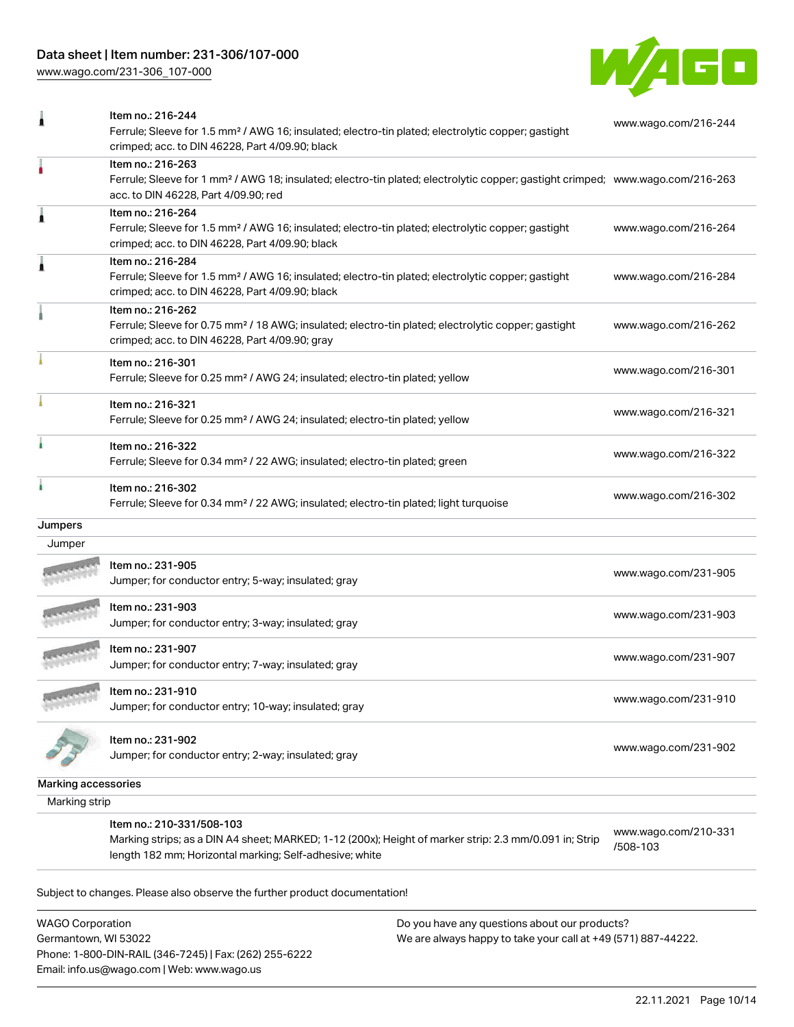## Data sheet | Item number: 231-306/107-000

[www.wago.com/231-306\\_107-000](http://www.wago.com/231-306_107-000)



|                     | Item no.: 216-244                                                                                                                                                 |                                  |
|---------------------|-------------------------------------------------------------------------------------------------------------------------------------------------------------------|----------------------------------|
|                     | Ferrule; Sleeve for 1.5 mm <sup>2</sup> / AWG 16; insulated; electro-tin plated; electrolytic copper; gastight<br>crimped; acc. to DIN 46228, Part 4/09.90; black | www.wago.com/216-244             |
|                     | Item no.: 216-263                                                                                                                                                 |                                  |
|                     | Ferrule; Sleeve for 1 mm <sup>2</sup> / AWG 18; insulated; electro-tin plated; electrolytic copper; gastight crimped; www.wago.com/216-263                        |                                  |
|                     | acc. to DIN 46228, Part 4/09.90; red                                                                                                                              |                                  |
| 1                   | Item no.: 216-264                                                                                                                                                 |                                  |
|                     | Ferrule; Sleeve for 1.5 mm <sup>2</sup> / AWG 16; insulated; electro-tin plated; electrolytic copper; gastight                                                    | www.wago.com/216-264             |
|                     | crimped; acc. to DIN 46228, Part 4/09.90; black                                                                                                                   |                                  |
| 1                   | Item no.: 216-284                                                                                                                                                 |                                  |
|                     | Ferrule; Sleeve for 1.5 mm <sup>2</sup> / AWG 16; insulated; electro-tin plated; electrolytic copper; gastight                                                    | www.wago.com/216-284             |
|                     | crimped; acc. to DIN 46228, Part 4/09.90; black                                                                                                                   |                                  |
|                     | Item no.: 216-262                                                                                                                                                 |                                  |
|                     | Ferrule; Sleeve for 0.75 mm <sup>2</sup> / 18 AWG; insulated; electro-tin plated; electrolytic copper; gastight                                                   | www.wago.com/216-262             |
|                     | crimped; acc. to DIN 46228, Part 4/09.90; gray                                                                                                                    |                                  |
|                     | Item no.: 216-301                                                                                                                                                 |                                  |
|                     | Ferrule; Sleeve for 0.25 mm <sup>2</sup> / AWG 24; insulated; electro-tin plated; yellow                                                                          | www.wago.com/216-301             |
|                     | Item no.: 216-321                                                                                                                                                 |                                  |
|                     | Ferrule; Sleeve for 0.25 mm <sup>2</sup> / AWG 24; insulated; electro-tin plated; yellow                                                                          | www.wago.com/216-321             |
|                     | Item no.: 216-322                                                                                                                                                 |                                  |
|                     | Ferrule; Sleeve for 0.34 mm <sup>2</sup> / 22 AWG; insulated; electro-tin plated; green                                                                           | www.wago.com/216-322             |
| ٠                   | Item no.: 216-302                                                                                                                                                 |                                  |
|                     | Ferrule; Sleeve for 0.34 mm <sup>2</sup> / 22 AWG; insulated; electro-tin plated; light turquoise                                                                 | www.wago.com/216-302             |
| <b>Jumpers</b>      |                                                                                                                                                                   |                                  |
| Jumper              |                                                                                                                                                                   |                                  |
|                     | Item no.: 231-905                                                                                                                                                 |                                  |
|                     | Jumper; for conductor entry; 5-way; insulated; gray                                                                                                               | www.wago.com/231-905             |
|                     | Item no.: 231-903                                                                                                                                                 |                                  |
|                     | Jumper; for conductor entry; 3-way; insulated; gray                                                                                                               | www.wago.com/231-903             |
|                     | Item no.: 231-907                                                                                                                                                 |                                  |
|                     | Jumper; for conductor entry; 7-way; insulated; gray                                                                                                               | www.wago.com/231-907             |
|                     |                                                                                                                                                                   |                                  |
|                     | Item no.: 231-910                                                                                                                                                 | www.wago.com/231-910             |
|                     | Jumper; for conductor entry; 10-way; insulated; gray                                                                                                              |                                  |
|                     | Item no.: 231-902                                                                                                                                                 |                                  |
|                     | Jumper; for conductor entry; 2-way; insulated; gray                                                                                                               | www.wago.com/231-902             |
|                     |                                                                                                                                                                   |                                  |
| Marking accessories |                                                                                                                                                                   |                                  |
| Marking strip       |                                                                                                                                                                   |                                  |
|                     | Item no.: 210-331/508-103                                                                                                                                         |                                  |
|                     | Marking strips; as a DIN A4 sheet; MARKED; 1-12 (200x); Height of marker strip: 2.3 mm/0.091 in; Strip                                                            | www.wago.com/210-331<br>/508-103 |
|                     | length 182 mm; Horizontal marking; Self-adhesive; white                                                                                                           |                                  |

Subject to changes. Please also observe the further product documentation!

WAGO Corporation Germantown, WI 53022 Phone: 1-800-DIN-RAIL (346-7245) | Fax: (262) 255-6222 Email: info.us@wago.com | Web: www.wago.us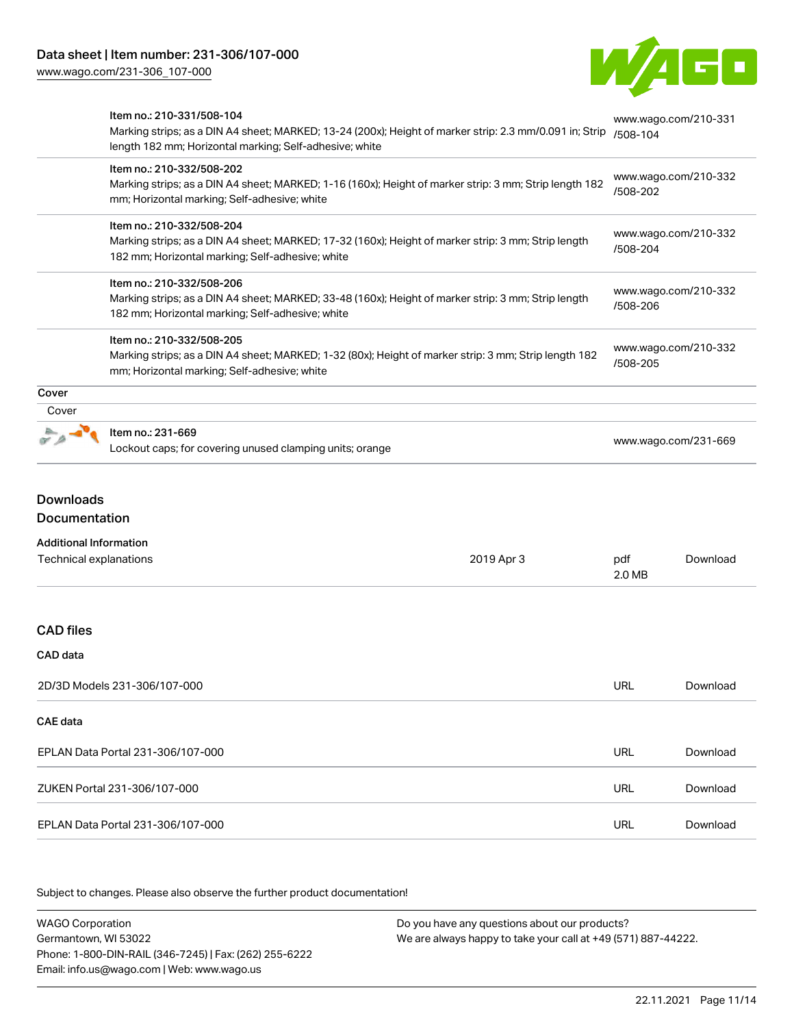

|       | Item no.: 210-331/508-104<br>Marking strips; as a DIN A4 sheet; MARKED; 13-24 (200x); Height of marker strip: 2.3 mm/0.091 in; Strip<br>length 182 mm; Horizontal marking; Self-adhesive; white | www.wago.com/210-331<br>/508-104 |
|-------|-------------------------------------------------------------------------------------------------------------------------------------------------------------------------------------------------|----------------------------------|
|       | Item no.: 210-332/508-202<br>Marking strips; as a DIN A4 sheet; MARKED; 1-16 (160x); Height of marker strip: 3 mm; Strip length 182<br>mm; Horizontal marking; Self-adhesive; white             | www.wago.com/210-332<br>/508-202 |
|       | Item no.: 210-332/508-204<br>Marking strips; as a DIN A4 sheet; MARKED; 17-32 (160x); Height of marker strip: 3 mm; Strip length<br>182 mm; Horizontal marking; Self-adhesive; white            | www.wago.com/210-332<br>/508-204 |
|       | Item no.: 210-332/508-206<br>Marking strips; as a DIN A4 sheet; MARKED; 33-48 (160x); Height of marker strip: 3 mm; Strip length<br>182 mm; Horizontal marking; Self-adhesive; white            | www.wago.com/210-332<br>/508-206 |
|       | Item no.: 210-332/508-205<br>Marking strips; as a DIN A4 sheet; MARKED; 1-32 (80x); Height of marker strip: 3 mm; Strip length 182<br>mm; Horizontal marking; Self-adhesive; white              | www.wago.com/210-332<br>/508-205 |
| Cover |                                                                                                                                                                                                 |                                  |
| Cover |                                                                                                                                                                                                 |                                  |
|       | Item no.: 231-669<br>Lockout caps; for covering unused clamping units; orange                                                                                                                   | www.wago.com/231-669             |

# Downloads Documentation

|  |  | Additional Information |
|--|--|------------------------|
|--|--|------------------------|

| Technical explanations            | 2019 Apr 3 | pdf<br>2.0 MB | Download |
|-----------------------------------|------------|---------------|----------|
|                                   |            |               |          |
| <b>CAD files</b>                  |            |               |          |
| CAD data                          |            |               |          |
| 2D/3D Models 231-306/107-000      |            | <b>URL</b>    | Download |
| CAE data                          |            |               |          |
| EPLAN Data Portal 231-306/107-000 |            | <b>URL</b>    | Download |
| ZUKEN Portal 231-306/107-000      |            | <b>URL</b>    | Download |
| EPLAN Data Portal 231-306/107-000 |            | <b>URL</b>    | Download |

Subject to changes. Please also observe the further product documentation!

WAGO Corporation Germantown, WI 53022 Phone: 1-800-DIN-RAIL (346-7245) | Fax: (262) 255-6222 Email: info.us@wago.com | Web: www.wago.us Do you have any questions about our products? We are always happy to take your call at +49 (571) 887-44222.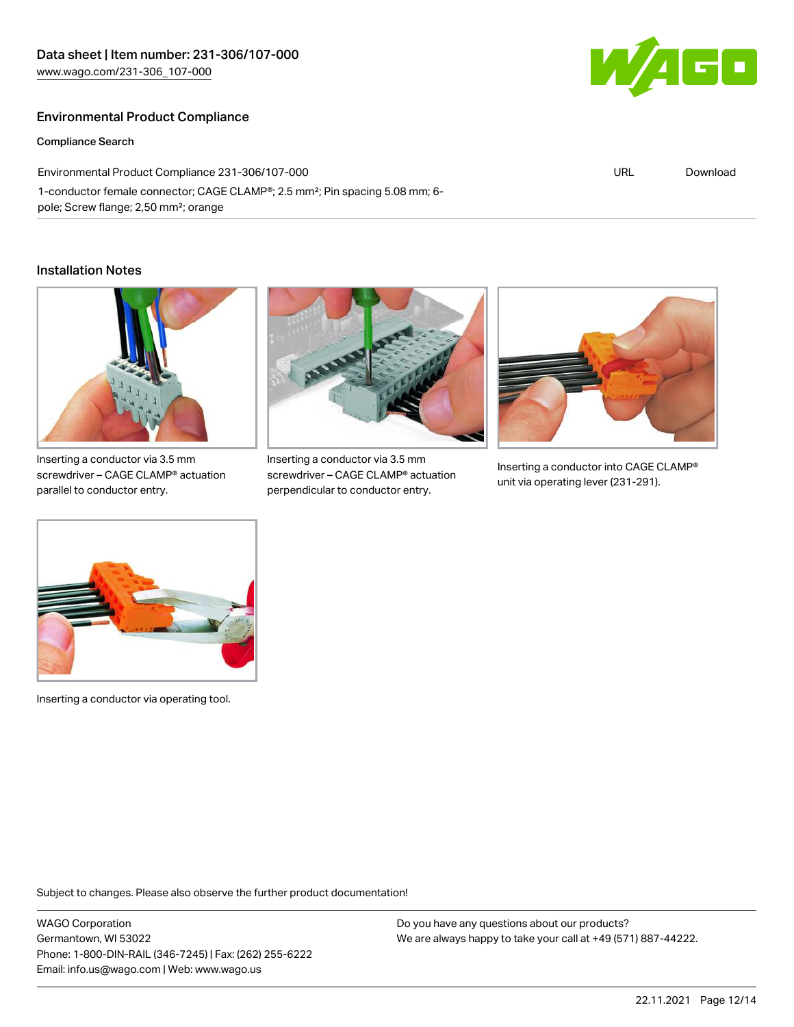## Environmental Product Compliance

Compliance Search

Environmental Product Compliance 231-306/107-000 1-conductor female connector; CAGE CLAMP®; 2.5 mm²; Pin spacing 5.08 mm; 6 pole; Screw flange; 2,50 mm²; orange

#### Installation Notes



screwdriver – CAGE CLAMP® actuation parallel to conductor entry.



Inserting a conductor via 3.5 mm screwdriver – CAGE CLAMP® actuation perpendicular to conductor entry.



Inserting a conductor into CAGE CLAMP® unit via operating lever (231-291).



Inserting a conductor via operating tool.

Subject to changes. Please also observe the further product documentation!

WAGO Corporation Germantown, WI 53022 Phone: 1-800-DIN-RAIL (346-7245) | Fax: (262) 255-6222 Email: info.us@wago.com | Web: www.wago.us

Do you have any questions about our products? We are always happy to take your call at +49 (571) 887-44222.



URL [Download](https://www.wago.com/global/d/ComplianceLinkMediaContainer_231-306_107-000)

22.11.2021 Page 12/14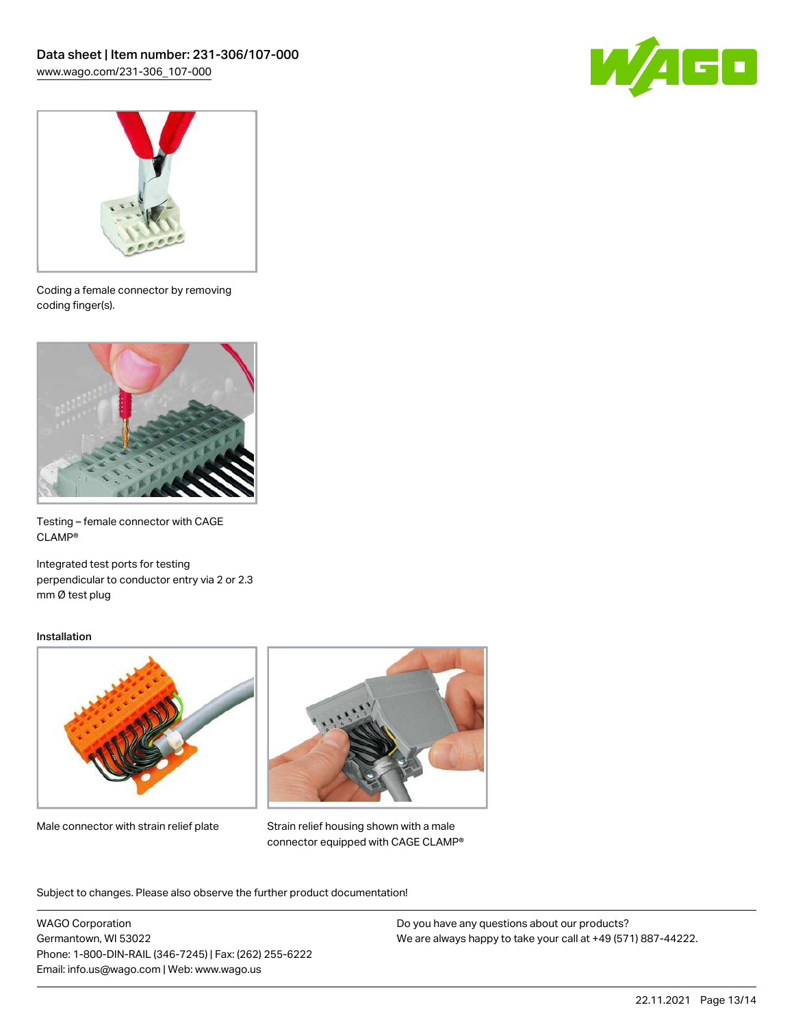



Coding a female connector by removing coding finger(s).



Testing – female connector with CAGE CLAMP®

Integrated test ports for testing perpendicular to conductor entry via 2 or 2.3 mm Ø test plug

#### Installation



Male connector with strain relief plate



Strain relief housing shown with a male connector equipped with CAGE CLAMP®

Subject to changes. Please also observe the further product documentation!

WAGO Corporation Germantown, WI 53022 Phone: 1-800-DIN-RAIL (346-7245) | Fax: (262) 255-6222 Email: info.us@wago.com | Web: www.wago.us